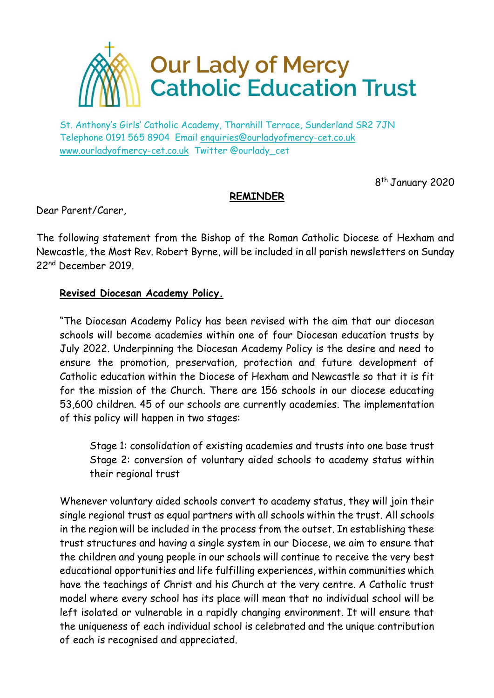

St. Anthony's Girls' Catholic Academy, Thornhill Terrace, Sunderland SR2 7JN Telephone 0191 565 8904 Email [enquiries@ourladyofmercy-cet.co.uk](mailto:enquiries@ourladyofmercy-cet.co.uk) [www.ourladyofmercy-cet.co.uk](http://www.ourladyofmercy-cet.co.uk/) Twitter @ourlady\_cet

8<sup>th</sup> January 2020

## **REMINDER**

Dear Parent/Carer,

The following statement from the Bishop of the Roman Catholic Diocese of Hexham and Newcastle, the Most Rev. Robert Byrne, will be included in all parish newsletters on Sunday 22nd December 2019.

## **Revised Diocesan Academy Policy.**

"The Diocesan Academy Policy has been revised with the aim that our diocesan schools will become academies within one of four Diocesan education trusts by July 2022. Underpinning the Diocesan Academy Policy is the desire and need to ensure the promotion, preservation, protection and future development of Catholic education within the Diocese of Hexham and Newcastle so that it is fit for the mission of the Church. There are 156 schools in our diocese educating 53,600 children. 45 of our schools are currently academies. The implementation of this policy will happen in two stages:

Stage 1: consolidation of existing academies and trusts into one base trust Stage 2: conversion of voluntary aided schools to academy status within their regional trust

Whenever voluntary aided schools convert to academy status, they will join their single regional trust as equal partners with all schools within the trust. All schools in the region will be included in the process from the outset. In establishing these trust structures and having a single system in our Diocese, we aim to ensure that the children and young people in our schools will continue to receive the very best educational opportunities and life fulfilling experiences, within communities which have the teachings of Christ and his Church at the very centre. A Catholic trust model where every school has its place will mean that no individual school will be left isolated or vulnerable in a rapidly changing environment. It will ensure that the uniqueness of each individual school is celebrated and the unique contribution of each is recognised and appreciated.